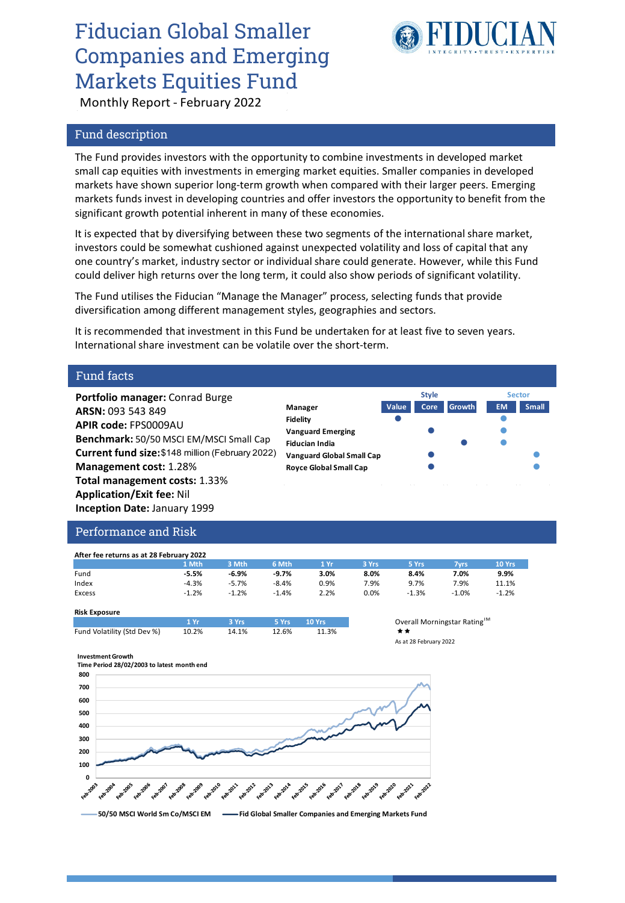# Fiducian Global Smaller Companies and Emerging Markets Equities Fund



Monthly Report - February 2022

### Fund description

The Fund provides investors with the opportunity to combine investments in developed market small cap equities with investments in emerging market equities. Smaller companies in developed markets have shown superior long-term growth when compared with their larger peers. Emerging markets funds invest in developing countries and offer investors the opportunity to benefit from the significant growth potential inherent in many of these economies.

It is expected that by diversifying between these two segments of the international share market, investors could be somewhat cushioned against unexpected volatility and loss of capital that any one country's market, industry sector or individual share could generate. However, while this Fund could deliver high returns over the long term, it could also show periods of significant volatility.

The Fund utilises the Fiducian "Manage the Manager" process, selecting funds that provide diversification among different management styles, geographies and sectors.

It is recommended that investment in this Fund be undertaken for at least five to seven years. International share investment can be volatile over the short-term.

### Fund facts

**Portfolio manager:** Conrad Burge **ARSN:** 093 543 849 **APIR code:** FPS0009AU **Benchmark:** 50/50 MSCI EM/MSCI Small Cap **Current fund size:** \$148 million (February 2022) **Management cost:** 1.28% **Total management costs:** 1.33% **Application/Exit fee:** Nil **Inception Date:** January 1999

|                                  | <b>Style</b> |       | <b>Sector</b> |           |              |
|----------------------------------|--------------|-------|---------------|-----------|--------------|
| Manager                          | Value        | Core. | <b>Growth</b> | <b>EM</b> | <b>Small</b> |
| <b>Fidelity</b>                  |              |       |               |           |              |
| <b>Vanguard Emerging</b>         |              |       |               |           |              |
| <b>Fiducian India</b>            |              |       |               |           |              |
| <b>Vanguard Global Small Cap</b> |              |       |               |           |              |
| <b>Royce Global Small Cap</b>    |              |       |               |           |              |
|                                  |              |       |               |           |              |

### Performance and Risk

| After fee returns as at 28 February 2022 |         |         |         |      |       |          |         |         |
|------------------------------------------|---------|---------|---------|------|-------|----------|---------|---------|
|                                          | 1 Mth   | 3 Mth   | 6 Mth   | 1 Yr | 3 Yrs | 5 Yrs    | 7vrs    | 10 Yrs  |
| Fund                                     | $-5.5%$ | $-6.9%$ | $-9.7%$ | 3.0% | 8.0%  | 8.4%     | 7.0%    | 9.9%    |
| Index                                    | $-4.3%$ | $-5.7%$ | $-8.4%$ | 0.9% | 7.9%  | 9.7%     | 7.9%    | 11.1%   |
| Excess                                   | $-1.2%$ | $-1.2%$ | $-1.4%$ | 2.2% | 0.0%  | $-1.3\%$ | $-1.0%$ | $-1.2%$ |

#### **Risk Exposure**

|                             | 1 Vr  | 3 Yrs | 5 Yrs 10 Yrs |       | Over  |
|-----------------------------|-------|-------|--------------|-------|-------|
| Fund Volatility (Std Dev %) | 10.2% | 14.1% | 12.6%        | 11.3% | **    |
|                             |       |       |              |       | 1.111 |

# **1 Yr 3 Yrs 5 Yrs 10 Yrs** Overall Morningstar RatingTM As at 28 February 2022





**50/50 MSCI World Sm Co/MSCI EM Fid Global Smaller Companies and Emerging Markets Fund**